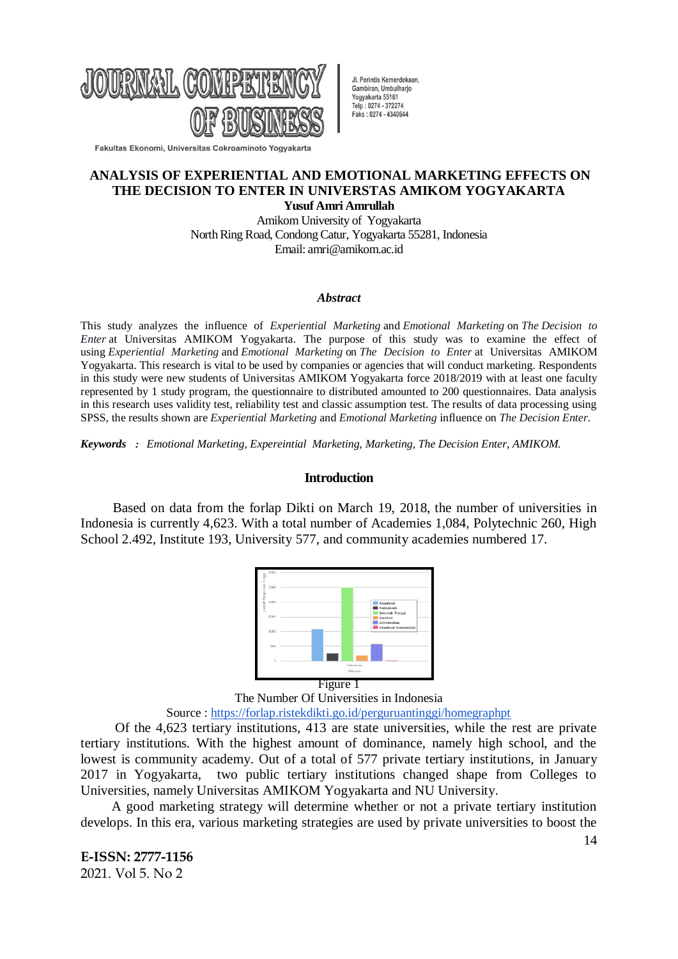

Jl. Perintis Kemerdekaan, Gambiran Umbulhario Yogyakarta 55161 Telp: 0274 - 372274 Faks: 0274 - 4340644

Fakultas Ekonomi, Universitas Cokroaminoto Yogyakarta

## **ANALYSIS OF EXPERIENTIAL AND EMOTIONAL MARKETING EFFECTS ON THE DECISION TO ENTER IN UNIVERSTAS AMIKOM YOGYAKARTA Yusuf Amri Amrullah**

Amikom University of Yogyakarta North Ring Road, Condong Catur, Yogyakarta 55281, Indonesia Email: amri@amikom.ac.id

#### *Abstract*

This study analyzes the influence of *Experiential Marketing* and *Emotional Marketing* on *The Decision to Enter* at Universitas AMIKOM Yogyakarta. The purpose of this study was to examine the effect of using *Experiential Marketing* and *Emotional Marketing* on *The Decision to Enter* at Universitas AMIKOM Yogyakarta. This research is vital to be used by companies or agencies that will conduct marketing. Respondents in this study were new students of Universitas AMIKOM Yogyakarta force 2018/2019 with at least one faculty represented by 1 study program, the questionnaire to distributed amounted to 200 questionnaires. Data analysis in this research uses validity test, reliability test and classic assumption test. The results of data processing using SPSS, the results shown are *Experiential Marketing* and *Emotional Marketing* influence on *The Decision Enter*.

*Keywords : Emotional Marketing, Expereintial Marketing, Marketing, The Decision Enter, AMIKOM.*

### **Introduction**

Based on data from the forlap Dikti on March 19, 2018, the number of universities in Indonesia is currently 4,623. With a total number of Academies 1,084, Polytechnic 260, High School 2.492, Institute 193, University 577, and community academies numbered 17.



The Number Of Universities in Indonesia Source : <https://forlap.ristekdikti.go.id/perguruantinggi/homegraphpt>

Of the 4,623 tertiary institutions, 413 are state universities, while the rest are private tertiary institutions. With the highest amount of dominance, namely high school, and the lowest is community academy. Out of a total of 577 private tertiary institutions, in January 2017 in Yogyakarta, two public tertiary institutions changed shape from Colleges to Universities, namely Universitas AMIKOM Yogyakarta and NU University.

A good marketing strategy will determine whether or not a private tertiary institution develops. In this era, various marketing strategies are used by private universities to boost the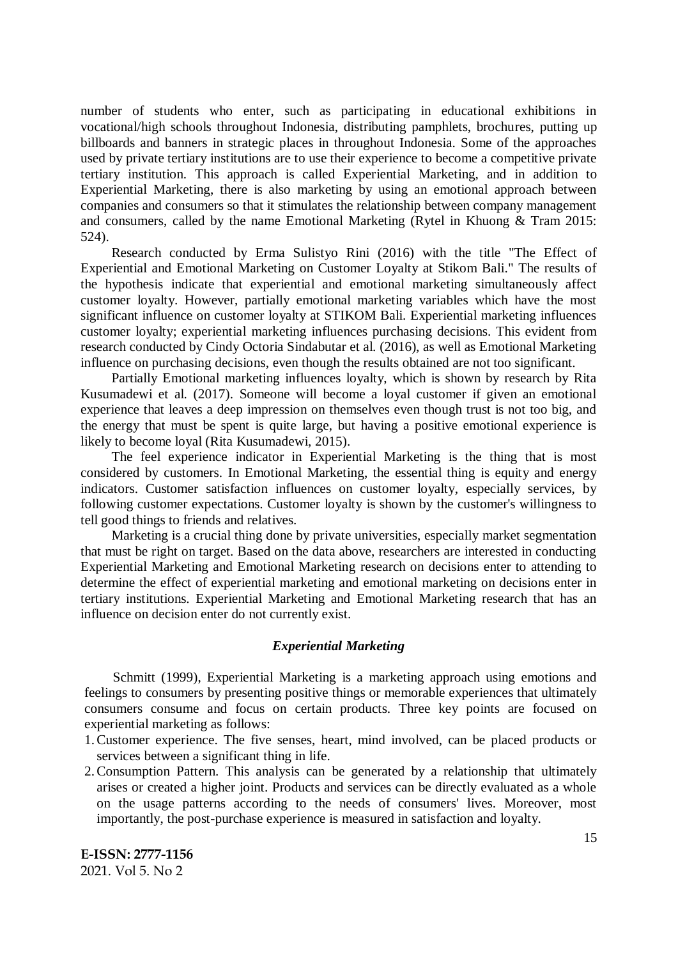number of students who enter, such as participating in educational exhibitions in vocational/high schools throughout Indonesia, distributing pamphlets, brochures, putting up billboards and banners in strategic places in throughout Indonesia. Some of the approaches used by private tertiary institutions are to use their experience to become a competitive private tertiary institution. This approach is called Experiential Marketing, and in addition to Experiential Marketing, there is also marketing by using an emotional approach between companies and consumers so that it stimulates the relationship between company management and consumers, called by the name Emotional Marketing (Rytel in Khuong & Tram 2015: 524).

Research conducted by Erma Sulistyo Rini (2016) with the title "The Effect of Experiential and Emotional Marketing on Customer Loyalty at Stikom Bali." The results of the hypothesis indicate that experiential and emotional marketing simultaneously affect customer loyalty. However, partially emotional marketing variables which have the most significant influence on customer loyalty at STIKOM Bali. Experiential marketing influences customer loyalty; experiential marketing influences purchasing decisions. This evident from research conducted by Cindy Octoria Sindabutar et al. (2016), as well as Emotional Marketing influence on purchasing decisions, even though the results obtained are not too significant.

Partially Emotional marketing influences loyalty, which is shown by research by Rita Kusumadewi et al. (2017). Someone will become a loyal customer if given an emotional experience that leaves a deep impression on themselves even though trust is not too big, and the energy that must be spent is quite large, but having a positive emotional experience is likely to become loyal (Rita Kusumadewi, 2015).

The feel experience indicator in Experiential Marketing is the thing that is most considered by customers. In Emotional Marketing, the essential thing is equity and energy indicators. Customer satisfaction influences on customer loyalty, especially services, by following customer expectations. Customer loyalty is shown by the customer's willingness to tell good things to friends and relatives.

Marketing is a crucial thing done by private universities, especially market segmentation that must be right on target. Based on the data above, researchers are interested in conducting Experiential Marketing and Emotional Marketing research on decisions enter to attending to determine the effect of experiential marketing and emotional marketing on decisions enter in tertiary institutions. Experiential Marketing and Emotional Marketing research that has an influence on decision enter do not currently exist.

### *Experiential Marketing*

Schmitt (1999), Experiential Marketing is a marketing approach using emotions and feelings to consumers by presenting positive things or memorable experiences that ultimately consumers consume and focus on certain products. Three key points are focused on experiential marketing as follows:

- 1.Customer experience. The five senses, heart, mind involved, can be placed products or services between a significant thing in life.
- 2.Consumption Pattern. This analysis can be generated by a relationship that ultimately arises or created a higher joint. Products and services can be directly evaluated as a whole on the usage patterns according to the needs of consumers' lives. Moreover, most importantly, the post-purchase experience is measured in satisfaction and loyalty.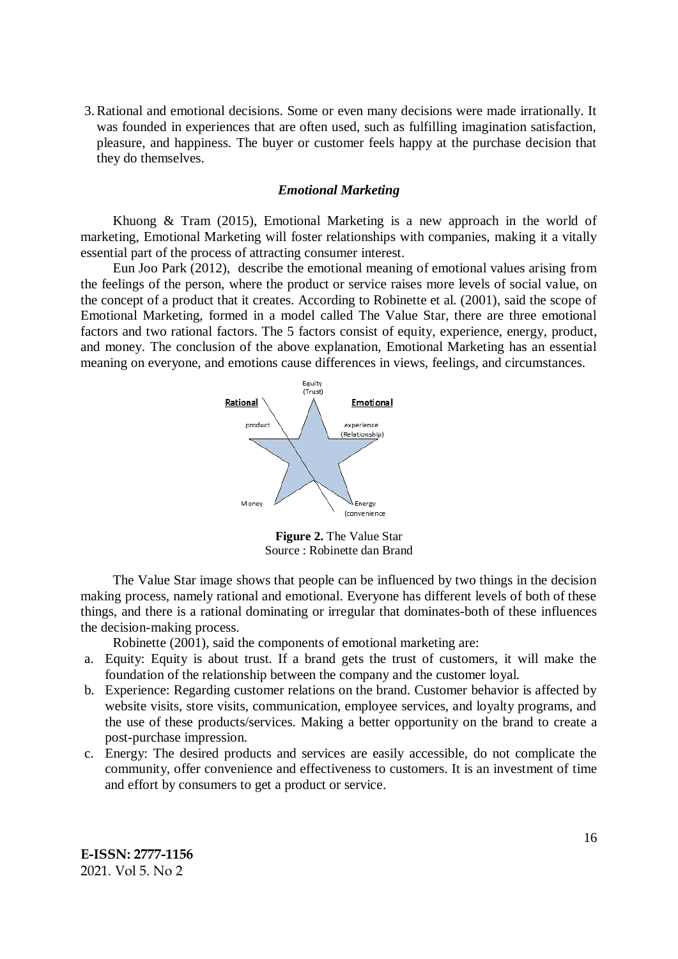3.Rational and emotional decisions. Some or even many decisions were made irrationally. It was founded in experiences that are often used, such as fulfilling imagination satisfaction, pleasure, and happiness. The buyer or customer feels happy at the purchase decision that they do themselves.

## *Emotional Marketing*

Khuong & Tram (2015), Emotional Marketing is a new approach in the world of marketing, Emotional Marketing will foster relationships with companies, making it a vitally essential part of the process of attracting consumer interest.

Eun Joo Park (2012), describe the emotional meaning of emotional values arising from the feelings of the person, where the product or service raises more levels of social value, on the concept of a product that it creates. According to Robinette et al. (2001), said the scope of Emotional Marketing, formed in a model called The Value Star, there are three emotional factors and two rational factors. The 5 factors consist of equity, experience, energy, product, and money. The conclusion of the above explanation, Emotional Marketing has an essential meaning on everyone, and emotions cause differences in views, feelings, and circumstances.



**Figure 2.** The Value Star Source : Robinette dan Brand

The Value Star image shows that people can be influenced by two things in the decision making process, namely rational and emotional. Everyone has different levels of both of these things, and there is a rational dominating or irregular that dominates-both of these influences the decision-making process.

Robinette (2001), said the components of emotional marketing are:

- a. Equity: Equity is about trust. If a brand gets the trust of customers, it will make the foundation of the relationship between the company and the customer loyal.
- b. Experience: Regarding customer relations on the brand. Customer behavior is affected by website visits, store visits, communication, employee services, and loyalty programs, and the use of these products/services. Making a better opportunity on the brand to create a post-purchase impression.
- c. Energy: The desired products and services are easily accessible, do not complicate the community, offer convenience and effectiveness to customers. It is an investment of time and effort by consumers to get a product or service.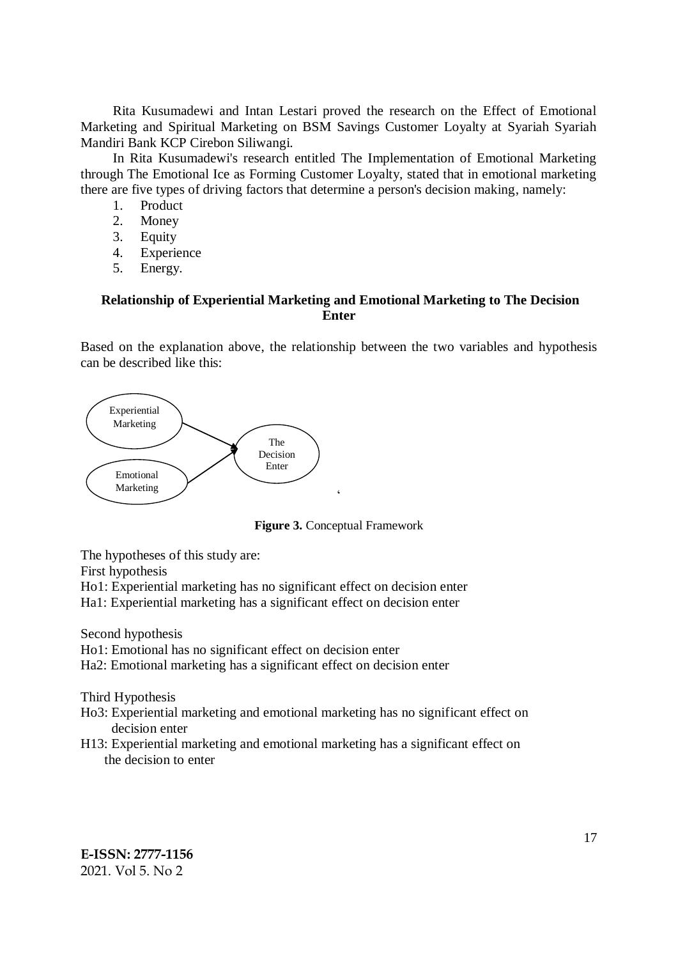Rita Kusumadewi and Intan Lestari proved the research on the Effect of Emotional Marketing and Spiritual Marketing on BSM Savings Customer Loyalty at Syariah Syariah Mandiri Bank KCP Cirebon Siliwangi.

In Rita Kusumadewi's research entitled The Implementation of Emotional Marketing through The Emotional Ice as Forming Customer Loyalty, stated that in emotional marketing there are five types of driving factors that determine a person's decision making, namely:

- 1. Product
- 2. Money
- 3. Equity
- 4. Experience
- 5. Energy.

# **Relationship of Experiential Marketing and Emotional Marketing to The Decision Enter**

Based on the explanation above, the relationship between the two variables and hypothesis can be described like this:



**Figure 3.** Conceptual Framework

The hypotheses of this study are:

First hypothesis

Ho1: Experiential marketing has no significant effect on decision enter

Ha1: Experiential marketing has a significant effect on decision enter

Second hypothesis

- Ho1: Emotional has no significant effect on decision enter
- Ha2: Emotional marketing has a significant effect on decision enter

Third Hypothesis

- Ho3: Experiential marketing and emotional marketing has no significant effect on decision enter
- H13: Experiential marketing and emotional marketing has a significant effect on the decision to enter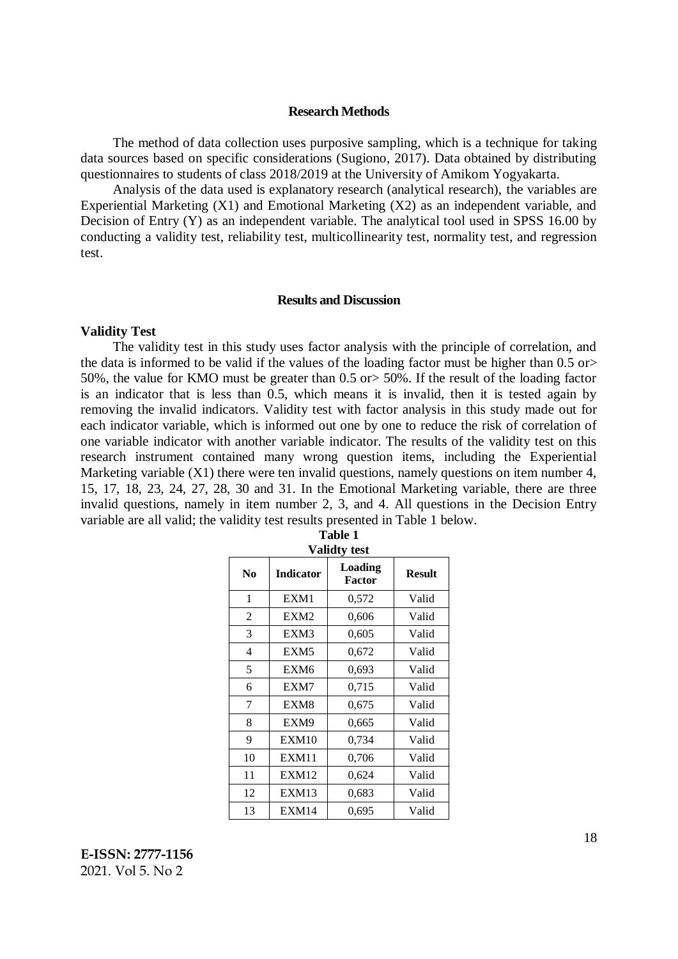#### **Research Methods**

The method of data collection uses purposive sampling, which is a technique for taking data sources based on specific considerations (Sugiono, 2017). Data obtained by distributing questionnaires to students of class 2018/2019 at the University of Amikom Yogyakarta.

Analysis of the data used is explanatory research (analytical research), the variables are Experiential Marketing (X1) and Emotional Marketing (X2) as an independent variable, and Decision of Entry (Y) as an independent variable. The analytical tool used in SPSS 16.00 by conducting a validity test, reliability test, multicollinearity test, normality test, and regression test.

#### **Results and Discussion**

### **Validity Test**

The validity test in this study uses factor analysis with the principle of correlation, and the data is informed to be valid if the values of the loading factor must be higher than 0.5 or> 50%, the value for KMO must be greater than 0.5 or> 50%. If the result of the loading factor is an indicator that is less than 0.5, which means it is invalid, then it is tested again by removing the invalid indicators. Validity test with factor analysis in this study made out for each indicator variable, which is informed out one by one to reduce the risk of correlation of one variable indicator with another variable indicator. The results of the validity test on this research instrument contained many wrong question items, including the Experiential Marketing variable (X1) there were ten invalid questions, namely questions on item number 4, 15, 17, 18, 23, 24, 27, 28, 30 and 31. In the Emotional Marketing variable, there are three invalid questions, namely in item number 2, 3, and 4. All questions in the Decision Entry variable are all valid; the validity test results presented in Table 1 below.

| <b>Validty test</b>                      |                   |                          |               |  |  |
|------------------------------------------|-------------------|--------------------------|---------------|--|--|
| $\bf N$ <sub>0</sub><br><b>Indicator</b> |                   | Loading<br><b>Factor</b> | <b>Result</b> |  |  |
| 1                                        | EXM1              | 0,572                    | Valid         |  |  |
| $\overline{2}$                           | EXM <sub>2</sub>  | 0,606                    | Valid         |  |  |
| 3                                        | EXM3              | 0,605                    | Valid         |  |  |
| $\overline{4}$                           | EXM <sub>5</sub>  | 0,672                    | Valid         |  |  |
| 5                                        | EXM <sub>6</sub>  | 0,693                    | Valid         |  |  |
| 6                                        | EXM7              | 0,715                    | Valid         |  |  |
| 7                                        | EXM8              | 0,675                    | Valid         |  |  |
| 8                                        | EXM9              | 0,665                    | Valid         |  |  |
| 9                                        | EXM <sub>10</sub> | 0,734                    | Valid         |  |  |
| 10                                       | EXM11             | 0,706                    | Valid         |  |  |
| 11                                       | EXM <sub>12</sub> | 0,624                    | Valid         |  |  |
| 12                                       | EXM13             | 0.683                    | Valid         |  |  |
| 13                                       | EXM14             | 0,695                    | Valid         |  |  |

| Table 1     |  |
|-------------|--|
| 'alidty tes |  |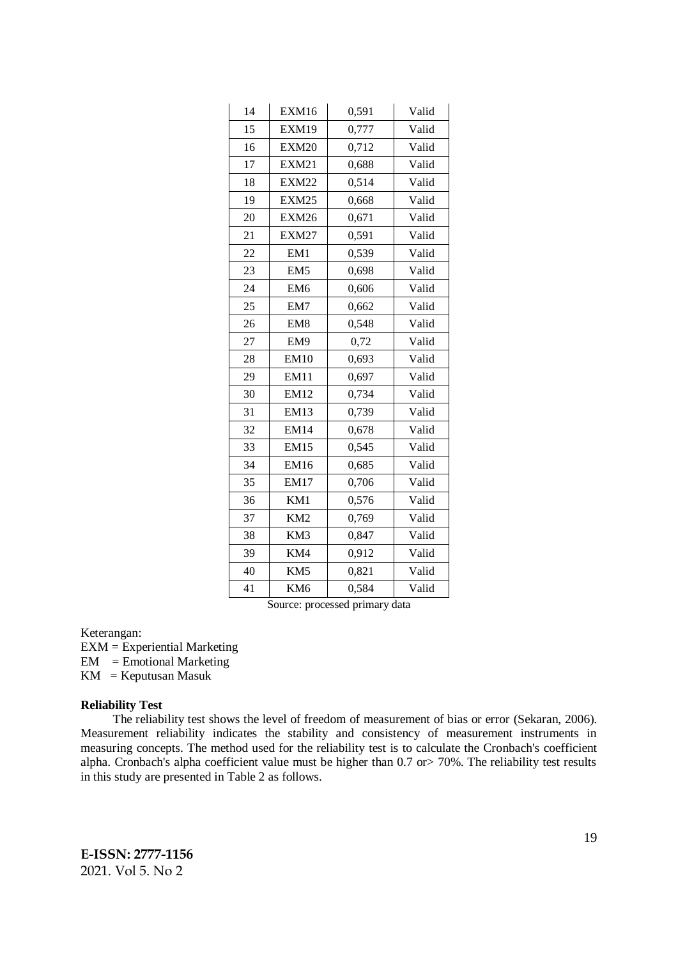| 14 | EXM16           | 0,591 | Valid |
|----|-----------------|-------|-------|
| 15 | EXM19           | 0,777 | Valid |
| 16 | <b>EXM20</b>    | 0,712 | Valid |
| 17 | <b>EXM21</b>    | 0,688 | Valid |
| 18 | <b>EXM22</b>    | 0,514 | Valid |
| 19 | EXM25           | 0,668 | Valid |
| 20 | EXM26           | 0,671 | Valid |
| 21 | <b>EXM27</b>    | 0,591 | Valid |
| 22 | EM1             | 0,539 | Valid |
| 23 | EM <sub>5</sub> | 0,698 | Valid |
| 24 | EM <sub>6</sub> | 0,606 | Valid |
| 25 | EM7             | 0,662 | Valid |
| 26 | EM <sub>8</sub> | 0,548 | Valid |
| 27 | EM9             | 0,72  | Valid |
| 28 | <b>EM10</b>     | 0,693 | Valid |
| 29 | <b>EM11</b>     | 0,697 | Valid |
| 30 | <b>EM12</b>     | 0,734 | Valid |
| 31 | <b>EM13</b>     | 0,739 | Valid |
| 32 | <b>EM14</b>     | 0,678 | Valid |
| 33 | <b>EM15</b>     | 0,545 | Valid |
| 34 | EM16            | 0,685 | Valid |
| 35 | EM17            | 0,706 | Valid |
| 36 | KM1             | 0,576 | Valid |
| 37 | KM <sub>2</sub> | 0,769 | Valid |
| 38 | KM3             | 0,847 | Valid |
| 39 | KM4             | 0,912 | Valid |
| 40 | KM5             | 0,821 | Valid |
| 41 | KM <sub>6</sub> | 0,584 | Valid |

Source: processed primary data

#### Keterangan:

EXM = Experiential Marketing

 $EM = E$ motional Marketing

 $KM = K$ eputusan Masuk

# **Reliability Test**

The reliability test shows the level of freedom of measurement of bias or error (Sekaran, 2006). Measurement reliability indicates the stability and consistency of measurement instruments in measuring concepts. The method used for the reliability test is to calculate the Cronbach's coefficient alpha. Cronbach's alpha coefficient value must be higher than 0.7 or> 70%. The reliability test results in this study are presented in Table 2 as follows.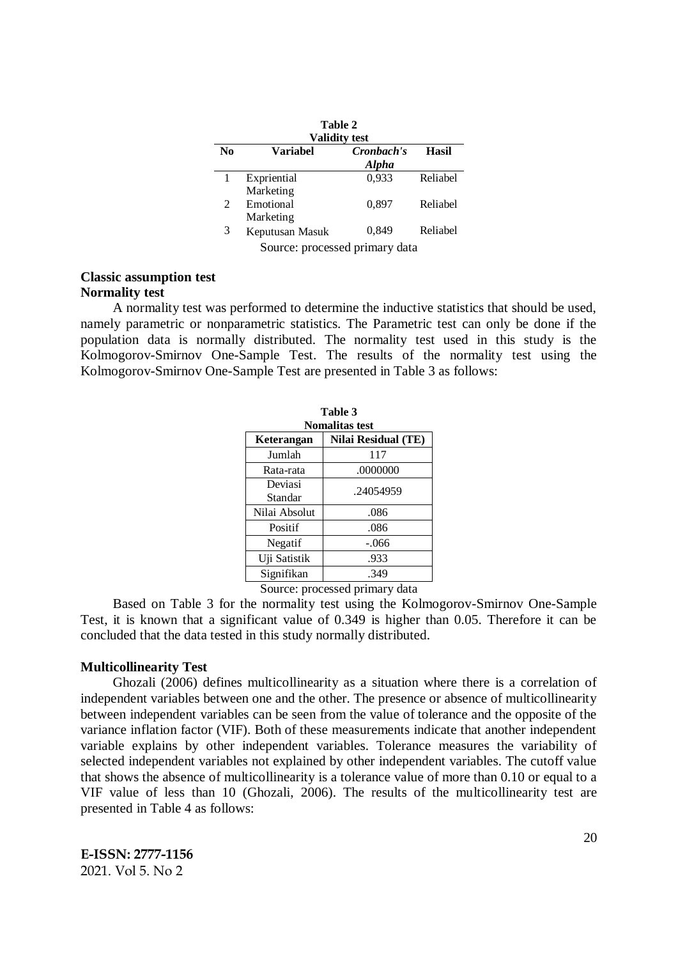| Table 2<br><b>Validity test</b> |                                     |                            |              |  |
|---------------------------------|-------------------------------------|----------------------------|--------------|--|
| N <sub>0</sub>                  | <b>Variabel</b>                     | Cronbach's<br><b>Alpha</b> | <b>Hasil</b> |  |
|                                 | Expriential                         | 0,933                      | Reliabel     |  |
| 2                               | Marketing<br>Emotional<br>Marketing | 0,897                      | Reliabel     |  |
| 3                               | Keputusan Masuk                     | 0,849                      | Reliabel     |  |
| Source: processed primary data  |                                     |                            |              |  |

### **Classic assumption test Normality test**

A normality test was performed to determine the inductive statistics that should be used, namely parametric or nonparametric statistics. The Parametric test can only be done if the population data is normally distributed. The normality test used in this study is the Kolmogorov-Smirnov One-Sample Test. The results of the normality test using the Kolmogorov-Smirnov One-Sample Test are presented in Table 3 as follows:

| Table 3<br><b>Nomalitas test</b> |                            |  |  |
|----------------------------------|----------------------------|--|--|
| Keterangan                       | <b>Nilai Residual (TE)</b> |  |  |
| Jumlah                           | 117                        |  |  |
| Rata-rata                        | .0000000                   |  |  |
| Deviasi<br>Standar               | .24054959                  |  |  |
| Nilai Absolut                    | .086                       |  |  |
| Positif                          | .086                       |  |  |
| Negatif                          | -.066                      |  |  |
| Uji Satistik                     | .933                       |  |  |
| Signifikan                       | .349                       |  |  |

Source: processed primary data

Based on Table 3 for the normality test using the Kolmogorov-Smirnov One-Sample Test, it is known that a significant value of 0.349 is higher than 0.05. Therefore it can be concluded that the data tested in this study normally distributed.

## **Multicollinearity Test**

Ghozali (2006) defines multicollinearity as a situation where there is a correlation of independent variables between one and the other. The presence or absence of multicollinearity between independent variables can be seen from the value of tolerance and the opposite of the variance inflation factor (VIF). Both of these measurements indicate that another independent variable explains by other independent variables. Tolerance measures the variability of selected independent variables not explained by other independent variables. The cutoff value that shows the absence of multicollinearity is a tolerance value of more than 0.10 or equal to a VIF value of less than 10 (Ghozali, 2006). The results of the multicollinearity test are presented in Table 4 as follows: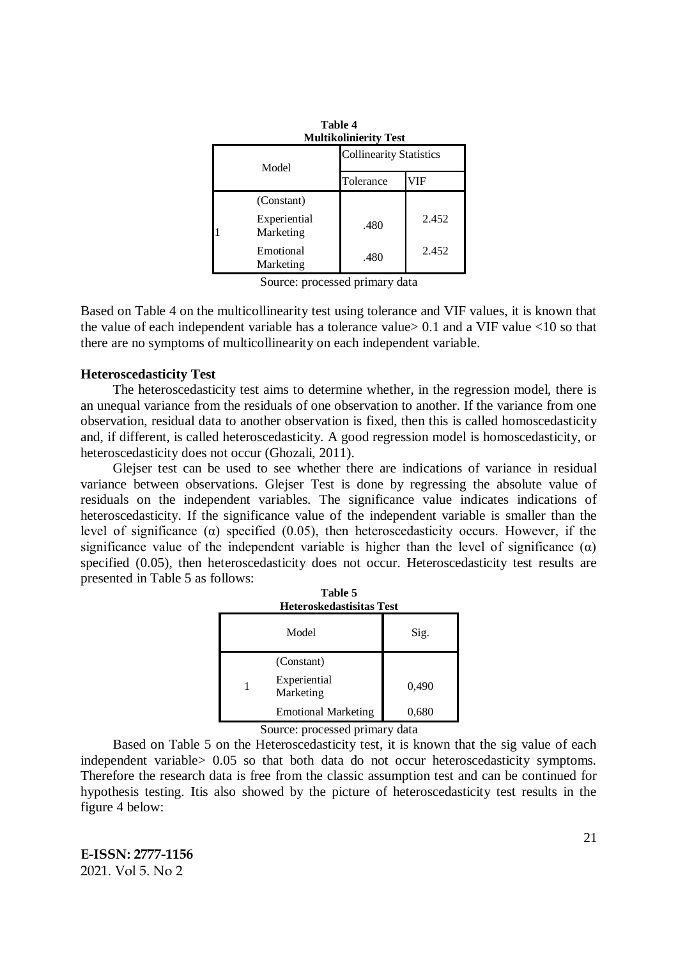| Table 4<br><b>Multikolinierity Test</b> |                           |                                |       |  |
|-----------------------------------------|---------------------------|--------------------------------|-------|--|
| Model                                   |                           | <b>Collinearity Statistics</b> |       |  |
|                                         |                           | Tolerance                      | VIF   |  |
|                                         | (Constant)                |                                |       |  |
|                                         | Experiential<br>Marketing | .480                           | 2.452 |  |
|                                         | Emotional<br>Marketing    | .480                           | 2.452 |  |

Source: processed primary data

Based on Table 4 on the multicollinearity test using tolerance and VIF values, it is known that the value of each independent variable has a tolerance value  $> 0.1$  and a VIF value  $< 10$  so that there are no symptoms of multicollinearity on each independent variable.

# **Heteroscedasticity Test**

The heteroscedasticity test aims to determine whether, in the regression model, there is an unequal variance from the residuals of one observation to another. If the variance from one observation, residual data to another observation is fixed, then this is called homoscedasticity and, if different, is called heteroscedasticity. A good regression model is homoscedasticity, or heteroscedasticity does not occur (Ghozali, 2011).

Glejser test can be used to see whether there are indications of variance in residual variance between observations. Glejser Test is done by regressing the absolute value of residuals on the independent variables. The significance value indicates indications of heteroscedasticity. If the significance value of the independent variable is smaller than the level of significance ( $\alpha$ ) specified (0.05), then heteroscedasticity occurs. However, if the significance value of the independent variable is higher than the level of significance  $(\alpha)$ specified (0.05), then heteroscedasticity does not occur. Heteroscedasticity test results are presented in Table 5 as follows:

| Table 5<br>Heteroskedastisitas Test |                            |       |  |  |
|-------------------------------------|----------------------------|-------|--|--|
|                                     | Model                      | Sig.  |  |  |
|                                     | (Constant)                 |       |  |  |
|                                     | Experiential<br>Marketing  | 0,490 |  |  |
|                                     | <b>Emotional Marketing</b> | 0,680 |  |  |

Source: processed primary data

Based on Table 5 on the Heteroscedasticity test, it is known that the sig value of each independent variable> 0.05 so that both data do not occur heteroscedasticity symptoms. Therefore the research data is free from the classic assumption test and can be continued for hypothesis testing. Itis also showed by the picture of heteroscedasticity test results in the figure 4 below: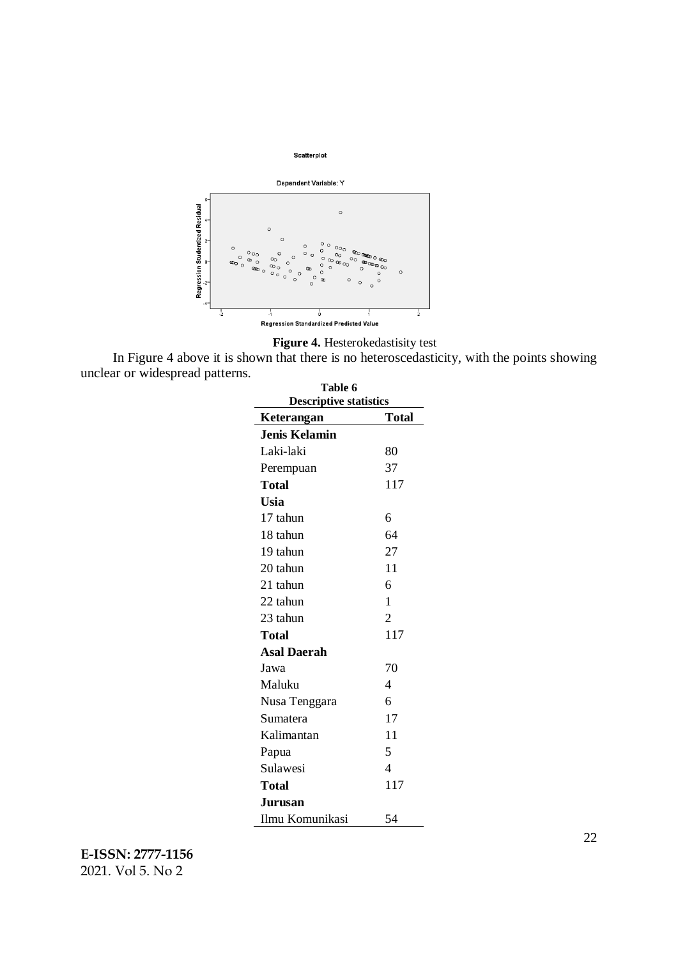

**Figure 4.** Hesterokedastisity test

In Figure 4 above it is shown that there is no heteroscedasticity, with the points showing unclear or widespread patterns.

| <b>Table 6</b><br><b>Descriptive statistics</b> |                          |  |  |
|-------------------------------------------------|--------------------------|--|--|
| Keterangan                                      | <b>Total</b>             |  |  |
| <b>Jenis Kelamin</b>                            |                          |  |  |
| Laki-laki                                       | 80                       |  |  |
| Perempuan                                       | 37                       |  |  |
| <b>Total</b>                                    | 117                      |  |  |
| <b>Usia</b>                                     |                          |  |  |
| 17 tahun                                        | 6                        |  |  |
| 18 tahun                                        | 64                       |  |  |
| 19 tahun                                        | 27                       |  |  |
| 20 tahun                                        | 11                       |  |  |
| 21 tahun                                        | 6                        |  |  |
| 22 tahun                                        | 1                        |  |  |
| 23 tahun                                        | $\overline{2}$           |  |  |
| Total                                           | 117                      |  |  |
| <b>Asal Daerah</b>                              |                          |  |  |
| Jawa                                            | 70                       |  |  |
| Maluku                                          | 4                        |  |  |
| Nusa Tenggara                                   | 6                        |  |  |
| Sumatera                                        | 17                       |  |  |
| Kalimantan                                      | 11                       |  |  |
| Papua                                           | 5                        |  |  |
| Sulawesi                                        | $\overline{\mathcal{A}}$ |  |  |
| <b>Total</b>                                    | 117                      |  |  |
| <b>Jurusan</b>                                  |                          |  |  |
| Ilmu Komunikasi                                 | 54                       |  |  |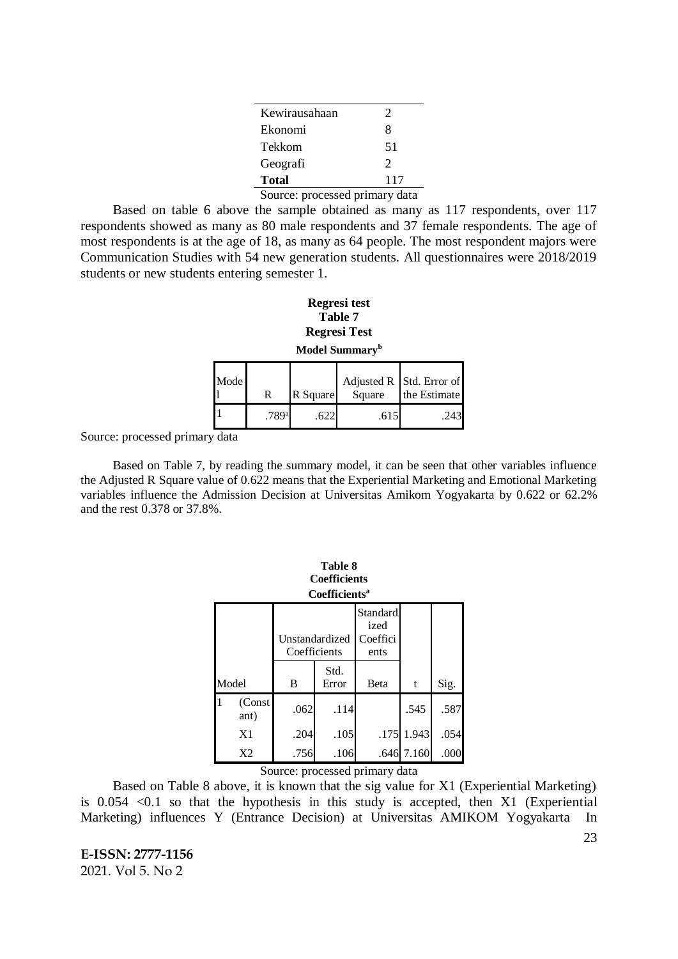| Kewirausahaan                  | $\mathcal{D}_{\cdot}$ |
|--------------------------------|-----------------------|
| Ekonomi                        | 8                     |
| Tekkom                         | 51                    |
| Geografi                       | $\mathcal{D}$         |
| <b>Total</b>                   | 117                   |
| Source: processed primary data |                       |

Based on table 6 above the sample obtained as many as 117 respondents, over 117 respondents showed as many as 80 male respondents and 37 female respondents. The age of most respondents is at the age of 18, as many as 64 people. The most respondent majors were Communication Studies with 54 new generation students. All questionnaires were 2018/2019 students or new students entering semester 1.

### **Regresi test Table 7 Regresi Test Model Summary<sup>b</sup>**

| плочен винний у |       |          |        |                                          |  |  |
|-----------------|-------|----------|--------|------------------------------------------|--|--|
| Mode            | R     | R Square | Square | Adjusted R Std. Error of<br>the Estimate |  |  |
|                 | .789a | .622     | .615   | .243                                     |  |  |

Source: processed primary data

Based on Table 7, by reading the summary model, it can be seen that other variables influence the Adjusted R Square value of 0.622 means that the Experiential Marketing and Emotional Marketing variables influence the Admission Decision at Universitas Amikom Yogyakarta by 0.622 or 62.2% and the rest 0.378 or 37.8%.

|   | <b>Table 8</b><br><b>Coefficients</b><br>Coefficients <sup>a</sup> |                                |              |                                      |            |      |  |  |
|---|--------------------------------------------------------------------|--------------------------------|--------------|--------------------------------------|------------|------|--|--|
|   |                                                                    | Unstandardized<br>Coefficients |              | Standard<br>ized<br>Coeffici<br>ents |            |      |  |  |
|   | Std.<br>Model<br>B<br>Error                                        |                                | <b>B</b> eta | t                                    | Sig.       |      |  |  |
| 1 | (Const<br>ant)                                                     | .062                           | .114         |                                      | .545       | .587 |  |  |
|   | X <sub>1</sub>                                                     | .204                           | .105         |                                      | .175 1.943 | .054 |  |  |
|   | X <sub>2</sub>                                                     | .756                           | .106         |                                      | .646 7.160 | .000 |  |  |

Source: processed primary data

Based on Table 8 above, it is known that the sig value for X1 (Experiential Marketing) is  $0.054$  < 0.1 so that the hypothesis in this study is accepted, then X1 (Experiential Marketing) influences Y (Entrance Decision) at Universitas AMIKOM Yogyakarta In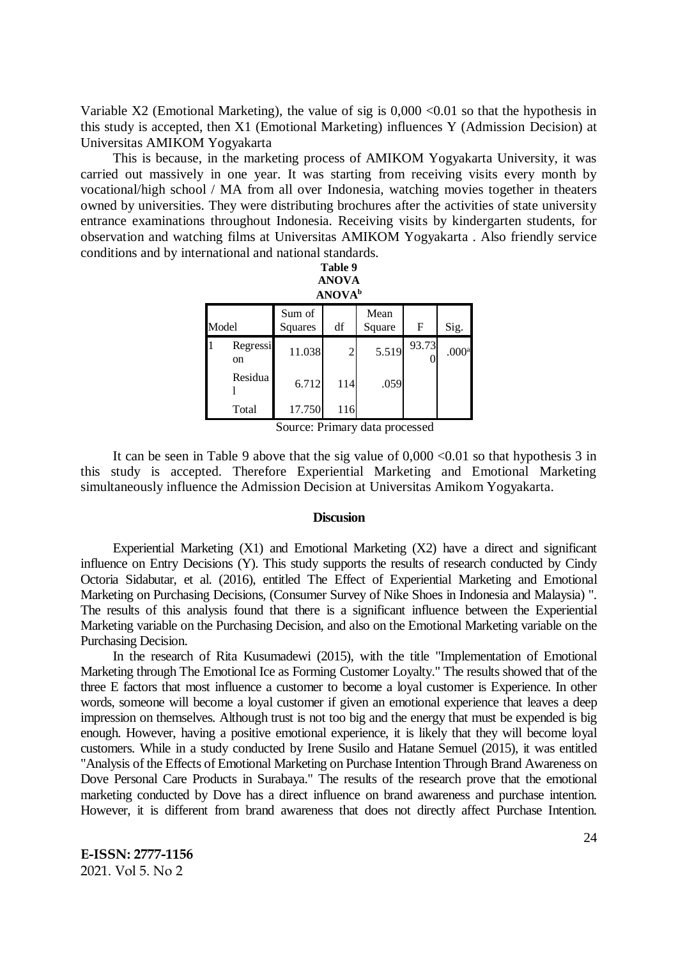Variable X2 (Emotional Marketing), the value of sig is  $0.000 \le 0.01$  so that the hypothesis in this study is accepted, then X1 (Emotional Marketing) influences Y (Admission Decision) at Universitas AMIKOM Yogyakarta

This is because, in the marketing process of AMIKOM Yogyakarta University, it was carried out massively in one year. It was starting from receiving visits every month by vocational/high school / MA from all over Indonesia, watching movies together in theaters owned by universities. They were distributing brochures after the activities of state university entrance examinations throughout Indonesia. Receiving visits by kindergarten students, for observation and watching films at Universitas AMIKOM Yogyakarta . Also friendly service conditions and by international and national standards.

|                                                         | Table 9<br><b>ANOVA</b><br><b>ANOVA</b> <sup>b</sup> |        |                |       |       |                   |  |  |
|---------------------------------------------------------|------------------------------------------------------|--------|----------------|-------|-------|-------------------|--|--|
| Mean<br>Sum of<br>Model<br>df<br>F<br>Square<br>Squares |                                                      |        |                |       | Sig.  |                   |  |  |
|                                                         | Regressi<br>on                                       | 11.038 | $\overline{c}$ | 5.519 | 93.73 | .000 <sup>a</sup> |  |  |
|                                                         | Residua                                              | 6.712  | 114            | .059  |       |                   |  |  |
|                                                         | Total                                                | 17.750 | 116            |       |       |                   |  |  |

Source: Primary data processed

It can be seen in Table 9 above that the sig value of  $0.000 \le 0.01$  so that hypothesis 3 in this study is accepted. Therefore Experiential Marketing and Emotional Marketing simultaneously influence the Admission Decision at Universitas Amikom Yogyakarta.

### **Discusion**

Experiential Marketing (X1) and Emotional Marketing (X2) have a direct and significant influence on Entry Decisions (Y). This study supports the results of research conducted by Cindy Octoria Sidabutar, et al. (2016), entitled The Effect of Experiential Marketing and Emotional Marketing on Purchasing Decisions, (Consumer Survey of Nike Shoes in Indonesia and Malaysia) ". The results of this analysis found that there is a significant influence between the Experiential Marketing variable on the Purchasing Decision, and also on the Emotional Marketing variable on the Purchasing Decision.

In the research of Rita Kusumadewi (2015), with the title "Implementation of Emotional Marketing through The Emotional Ice as Forming Customer Loyalty." The results showed that of the three E factors that most influence a customer to become a loyal customer is Experience. In other words, someone will become a loyal customer if given an emotional experience that leaves a deep impression on themselves. Although trust is not too big and the energy that must be expended is big enough. However, having a positive emotional experience, it is likely that they will become loyal customers. While in a study conducted by Irene Susilo and Hatane Semuel (2015), it was entitled "Analysis of the Effects of Emotional Marketing on Purchase Intention Through Brand Awareness on Dove Personal Care Products in Surabaya." The results of the research prove that the emotional marketing conducted by Dove has a direct influence on brand awareness and purchase intention. However, it is different from brand awareness that does not directly affect Purchase Intention.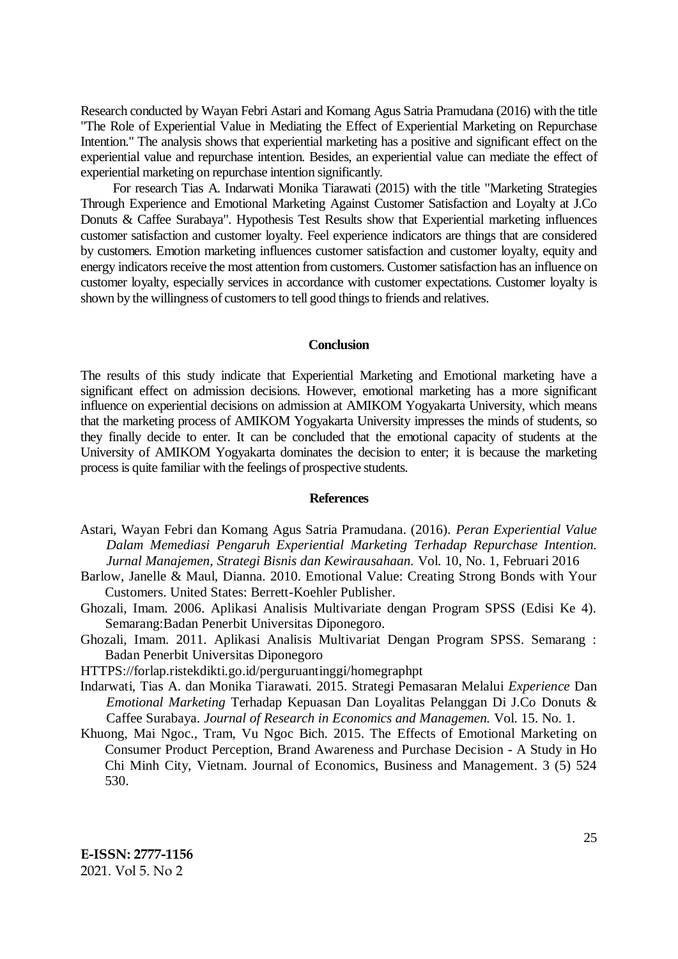Research conducted by Wayan Febri Astari and Komang Agus Satria Pramudana (2016) with the title "The Role of Experiential Value in Mediating the Effect of Experiential Marketing on Repurchase Intention." The analysis shows that experiential marketing has a positive and significant effect on the experiential value and repurchase intention. Besides, an experiential value can mediate the effect of experiential marketing on repurchase intention significantly.

For research Tias A. Indarwati Monika Tiarawati (2015) with the title "Marketing Strategies Through Experience and Emotional Marketing Against Customer Satisfaction and Loyalty at J.Co Donuts & Caffee Surabaya". Hypothesis Test Results show that Experiential marketing influences customer satisfaction and customer loyalty. Feel experience indicators are things that are considered by customers. Emotion marketing influences customer satisfaction and customer loyalty, equity and energy indicators receive the most attention from customers. Customer satisfaction has an influence on customer loyalty, especially services in accordance with customer expectations. Customer loyalty is shown by the willingness of customers to tell good things to friends and relatives.

### **Conclusion**

The results of this study indicate that Experiential Marketing and Emotional marketing have a significant effect on admission decisions. However, emotional marketing has a more significant influence on experiential decisions on admission at AMIKOM Yogyakarta University, which means that the marketing process of AMIKOM Yogyakarta University impresses the minds of students, so they finally decide to enter. It can be concluded that the emotional capacity of students at the University of AMIKOM Yogyakarta dominates the decision to enter; it is because the marketing process is quite familiar with the feelings of prospective students.

#### **References**

- Astari, Wayan Febri dan Komang Agus Satria Pramudana. (2016). *Peran Experiential Value Dalam Memediasi Pengaruh Experiential Marketing Terhadap Repurchase Intention. Jurnal Manajemen, Strategi Bisnis dan Kewirausahaan.* Vol. 10, No. 1, Februari 2016
- Barlow, Janelle & Maul, Dianna. 2010. Emotional Value: Creating Strong Bonds with Your Customers. United States: Berrett-Koehler Publisher.
- Ghozali, Imam. 2006. Aplikasi Analisis Multivariate dengan Program SPSS (Edisi Ke 4). Semarang:Badan Penerbit Universitas Diponegoro.
- Ghozali, Imam. 2011. Aplikasi Analisis Multivariat Dengan Program SPSS. Semarang : Badan Penerbit Universitas Diponegoro

HTTPS://forlap.ristekdikti.go.id/perguruantinggi/homegraphpt

- Indarwati, Tias A. dan Monika Tiarawati. 2015. Strategi Pemasaran Melalui *Experience* Dan *Emotional Marketing* Terhadap Kepuasan Dan Loyalitas Pelanggan Di J.Co Donuts & Caffee Surabaya. *Journal of Research in Economics and Managemen.* Vol. 15. No. 1.
- Khuong, Mai Ngoc., Tram, Vu Ngoc Bich. 2015. The Effects of Emotional Marketing on Consumer Product Perception, Brand Awareness and Purchase Decision - A Study in Ho Chi Minh City, Vietnam. Journal of Economics, Business and Management. 3 (5) 524 530.